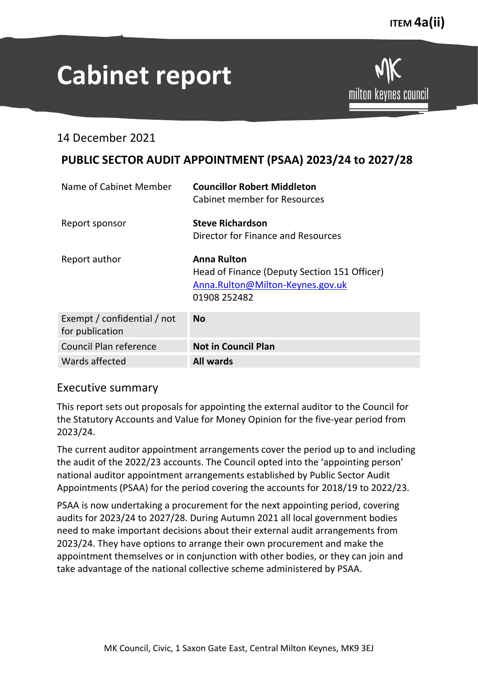milton keynes council

# **Cabinet report**

14 December 2021

# **PUBLIC SECTOR AUDIT APPOINTMENT (PSAA) 2023/24 to 2027/28**

| Name of Cabinet Member                         | <b>Councillor Robert Middleton</b><br><b>Cabinet member for Resources</b>                                              |
|------------------------------------------------|------------------------------------------------------------------------------------------------------------------------|
| Report sponsor                                 | <b>Steve Richardson</b><br>Director for Finance and Resources                                                          |
| Report author                                  | <b>Anna Rulton</b><br>Head of Finance (Deputy Section 151 Officer)<br>Anna.Rulton@Milton-Keynes.gov.uk<br>01908 252482 |
| Exempt / confidential / not<br>for publication | <b>No</b>                                                                                                              |
| Council Plan reference                         | <b>Not in Council Plan</b>                                                                                             |
| Wards affected                                 | <b>All wards</b>                                                                                                       |

## Executive summary

This report sets out proposals for appointing the external auditor to the Council for the Statutory Accounts and Value for Money Opinion for the five-year period from 2023/24.

The current auditor appointment arrangements cover the period up to and including the audit of the 2022/23 accounts. The Council opted into the 'appointing person' national auditor appointment arrangements established by Public Sector Audit Appointments (PSAA) for the period covering the accounts for 2018/19 to 2022/23.

PSAA is now undertaking a procurement for the next appointing period, covering audits for 2023/24 to 2027/28. During Autumn 2021 all local government bodies need to make important decisions about their external audit arrangements from 2023/24. They have options to arrange their own procurement and make the appointment themselves or in conjunction with other bodies, or they can join and take advantage of the national collective scheme administered by PSAA.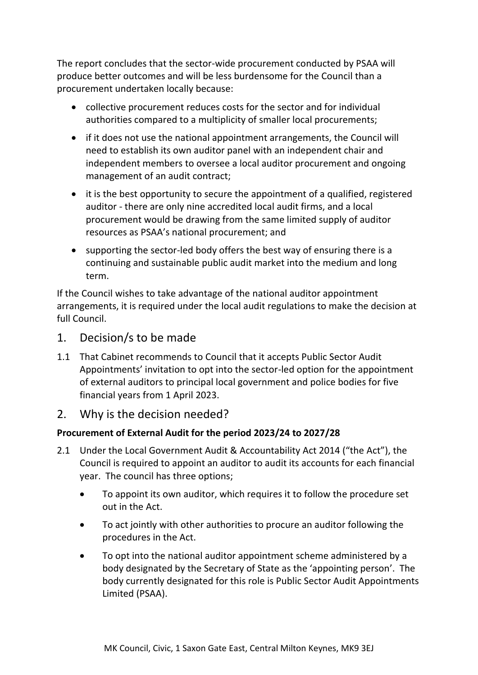The report concludes that the sector-wide procurement conducted by PSAA will produce better outcomes and will be less burdensome for the Council than a procurement undertaken locally because:

- collective procurement reduces costs for the sector and for individual authorities compared to a multiplicity of smaller local procurements;
- if it does not use the national appointment arrangements, the Council will need to establish its own auditor panel with an independent chair and independent members to oversee a local auditor procurement and ongoing management of an audit contract;
- it is the best opportunity to secure the appointment of a qualified, registered auditor - there are only nine accredited local audit firms, and a local procurement would be drawing from the same limited supply of auditor resources as PSAA's national procurement; and
- supporting the sector-led body offers the best way of ensuring there is a continuing and sustainable public audit market into the medium and long term.

If the Council wishes to take advantage of the national auditor appointment arrangements, it is required under the local audit regulations to make the decision at full Council.

# 1. Decision/s to be made

1.1 That Cabinet recommends to Council that it accepts Public Sector Audit Appointments' invitation to opt into the sector-led option for the appointment of external auditors to principal local government and police bodies for five financial years from 1 April 2023.

# 2. Why is the decision needed?

## **Procurement of External Audit for the period 2023/24 to 2027/28**

- 2.1 Under the Local Government Audit & Accountability Act 2014 ("the Act"), the Council is required to appoint an auditor to audit its accounts for each financial year. The council has three options;
	- To appoint its own auditor, which requires it to follow the procedure set out in the Act.
	- To act jointly with other authorities to procure an auditor following the procedures in the Act.
	- To opt into the national auditor appointment scheme administered by a body designated by the Secretary of State as the 'appointing person'. The body currently designated for this role is Public Sector Audit Appointments Limited (PSAA).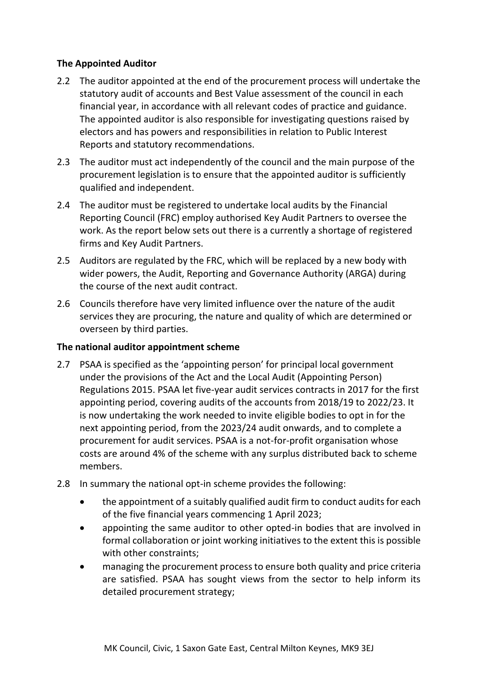#### **The Appointed Auditor**

- 2.2 The auditor appointed at the end of the procurement process will undertake the statutory audit of accounts and Best Value assessment of the council in each financial year, in accordance with all relevant codes of practice and guidance. The appointed auditor is also responsible for investigating questions raised by electors and has powers and responsibilities in relation to Public Interest Reports and statutory recommendations.
- 2.3 The auditor must act independently of the council and the main purpose of the procurement legislation is to ensure that the appointed auditor is sufficiently qualified and independent.
- 2.4 The auditor must be registered to undertake local audits by the Financial Reporting Council (FRC) employ authorised Key Audit Partners to oversee the work. As the report below sets out there is a currently a shortage of registered firms and Key Audit Partners.
- 2.5 Auditors are regulated by the FRC, which will be replaced by a new body with wider powers, the Audit, Reporting and Governance Authority (ARGA) during the course of the next audit contract.
- 2.6 Councils therefore have very limited influence over the nature of the audit services they are procuring, the nature and quality of which are determined or overseen by third parties.

#### **The national auditor appointment scheme**

- 2.7 PSAA is specified as the 'appointing person' for principal local government under the provisions of the Act and the Local Audit (Appointing Person) Regulations 2015. PSAA let five-year audit services contracts in 2017 for the first appointing period, covering audits of the accounts from 2018/19 to 2022/23. It is now undertaking the work needed to invite eligible bodies to opt in for the next appointing period, from the 2023/24 audit onwards, and to complete a procurement for audit services. PSAA is a not-for-profit organisation whose costs are around 4% of the scheme with any surplus distributed back to scheme members.
- 2.8 In summary the national opt-in scheme provides the following:
	- the appointment of a suitably qualified audit firm to conduct audits for each of the five financial years commencing 1 April 2023;
	- appointing the same auditor to other opted-in bodies that are involved in formal collaboration or joint working initiatives to the extent this is possible with other constraints;
	- managing the procurement process to ensure both quality and price criteria are satisfied. PSAA has sought views from the sector to help inform its detailed procurement strategy;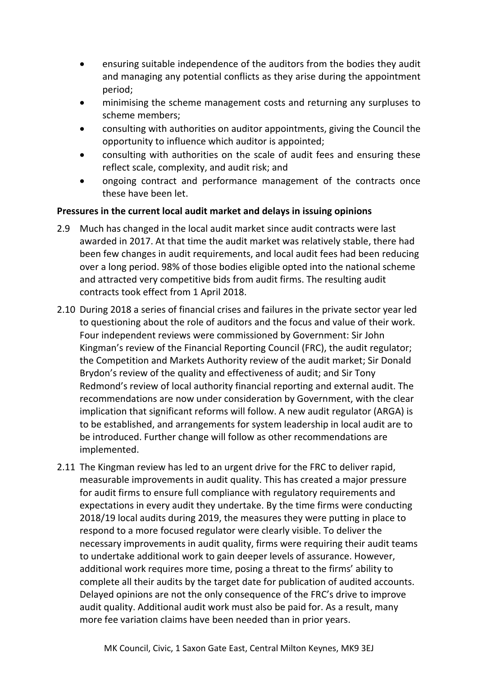- ensuring suitable independence of the auditors from the bodies they audit and managing any potential conflicts as they arise during the appointment period;
- minimising the scheme management costs and returning any surpluses to scheme members;
- consulting with authorities on auditor appointments, giving the Council the opportunity to influence which auditor is appointed;
- consulting with authorities on the scale of audit fees and ensuring these reflect scale, complexity, and audit risk; and
- ongoing contract and performance management of the contracts once these have been let.

#### **Pressures in the current local audit market and delays in issuing opinions**

- 2.9 Much has changed in the local audit market since audit contracts were last awarded in 2017. At that time the audit market was relatively stable, there had been few changes in audit requirements, and local audit fees had been reducing over a long period. 98% of those bodies eligible opted into the national scheme and attracted very competitive bids from audit firms. The resulting audit contracts took effect from 1 April 2018.
- 2.10 During 2018 a series of financial crises and failures in the private sector year led to questioning about the role of auditors and the focus and value of their work. Four independent reviews were commissioned by Government: Sir John Kingman's review of the Financial Reporting Council (FRC), the audit regulator; the Competition and Markets Authority review of the audit market; Sir Donald Brydon's review of the quality and effectiveness of audit; and Sir Tony Redmond's review of local authority financial reporting and external audit. The recommendations are now under consideration by Government, with the clear implication that significant reforms will follow. A new audit regulator (ARGA) is to be established, and arrangements for system leadership in local audit are to be introduced. Further change will follow as other recommendations are implemented.
- 2.11 The Kingman review has led to an urgent drive for the FRC to deliver rapid, measurable improvements in audit quality. This has created a major pressure for audit firms to ensure full compliance with regulatory requirements and expectations in every audit they undertake. By the time firms were conducting 2018/19 local audits during 2019, the measures they were putting in place to respond to a more focused regulator were clearly visible. To deliver the necessary improvements in audit quality, firms were requiring their audit teams to undertake additional work to gain deeper levels of assurance. However, additional work requires more time, posing a threat to the firms' ability to complete all their audits by the target date for publication of audited accounts. Delayed opinions are not the only consequence of the FRC's drive to improve audit quality. Additional audit work must also be paid for. As a result, many more fee variation claims have been needed than in prior years.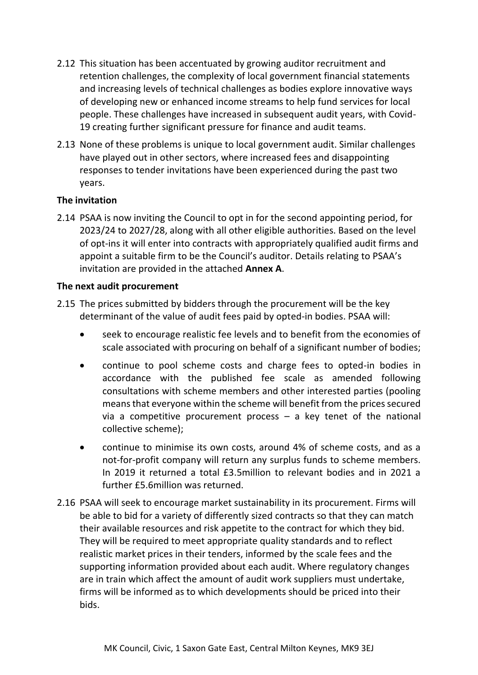- 2.12 This situation has been accentuated by growing auditor recruitment and retention challenges, the complexity of local government financial statements and increasing levels of technical challenges as bodies explore innovative ways of developing new or enhanced income streams to help fund services for local people. These challenges have increased in subsequent audit years, with Covid-19 creating further significant pressure for finance and audit teams.
- 2.13 None of these problems is unique to local government audit. Similar challenges have played out in other sectors, where increased fees and disappointing responses to tender invitations have been experienced during the past two years.

#### **The invitation**

2.14 PSAA is now inviting the Council to opt in for the second appointing period, for 2023/24 to 2027/28, along with all other eligible authorities. Based on the level of opt-ins it will enter into contracts with appropriately qualified audit firms and appoint a suitable firm to be the Council's auditor. Details relating to PSAA's invitation are provided in the attached **Annex A**.

#### **The next audit procurement**

- 2.15 The prices submitted by bidders through the procurement will be the key determinant of the value of audit fees paid by opted-in bodies. PSAA will:
	- seek to encourage realistic fee levels and to benefit from the economies of scale associated with procuring on behalf of a significant number of bodies;
	- continue to pool scheme costs and charge fees to opted-in bodies in accordance with the published fee scale as amended following consultations with scheme members and other interested parties (pooling means that everyone within the scheme will benefit from the prices secured via a competitive procurement process  $-$  a key tenet of the national collective scheme);
	- continue to minimise its own costs, around 4% of scheme costs, and as a not-for-profit company will return any surplus funds to scheme members. In 2019 it returned a total £3.5million to relevant bodies and in 2021 a further £5.6million was returned.
- 2.16 PSAA will seek to encourage market sustainability in its procurement. Firms will be able to bid for a variety of differently sized contracts so that they can match their available resources and risk appetite to the contract for which they bid. They will be required to meet appropriate quality standards and to reflect realistic market prices in their tenders, informed by the scale fees and the supporting information provided about each audit. Where regulatory changes are in train which affect the amount of audit work suppliers must undertake, firms will be informed as to which developments should be priced into their bids.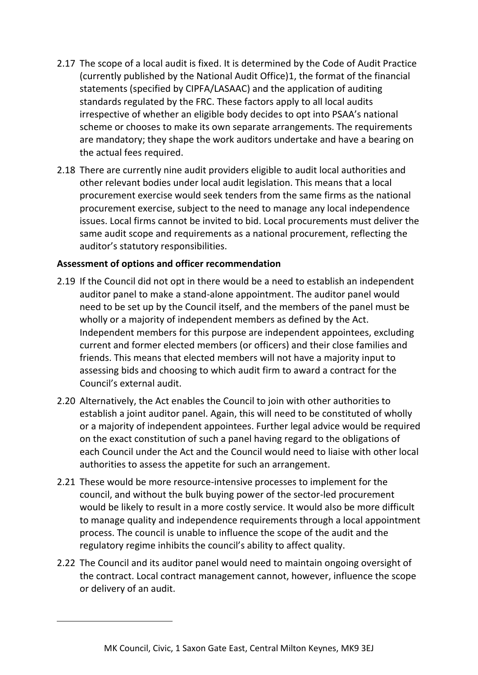- 2.17 The scope of a local audit is fixed. It is determined by the Code of Audit Practice (currently published by the National Audit Office)1, the format of the financial statements (specified by CIPFA/LASAAC) and the application of auditing standards regulated by the FRC. These factors apply to all local audits irrespective of whether an eligible body decides to opt into PSAA's national scheme or chooses to make its own separate arrangements. The requirements are mandatory; they shape the work auditors undertake and have a bearing on the actual fees required.
- 2.18 There are currently nine audit providers eligible to audit local authorities and other relevant bodies under local audit legislation. This means that a local procurement exercise would seek tenders from the same firms as the national procurement exercise, subject to the need to manage any local independence issues. Local firms cannot be invited to bid. Local procurements must deliver the same audit scope and requirements as a national procurement, reflecting the auditor's statutory responsibilities.

#### **Assessment of options and officer recommendation**

- 2.19 If the Council did not opt in there would be a need to establish an independent auditor panel to make a stand-alone appointment. The auditor panel would need to be set up by the Council itself, and the members of the panel must be wholly or a majority of independent members as defined by the Act. Independent members for this purpose are independent appointees, excluding current and former elected members (or officers) and their close families and friends. This means that elected members will not have a majority input to assessing bids and choosing to which audit firm to award a contract for the Council's external audit.
- 2.20 Alternatively, the Act enables the Council to join with other authorities to establish a joint auditor panel. Again, this will need to be constituted of wholly or a majority of independent appointees. Further legal advice would be required on the exact constitution of such a panel having regard to the obligations of each Council under the Act and the Council would need to liaise with other local authorities to assess the appetite for such an arrangement.
- 2.21 These would be more resource-intensive processes to implement for the council, and without the bulk buying power of the sector-led procurement would be likely to result in a more costly service. It would also be more difficult to manage quality and independence requirements through a local appointment process. The council is unable to influence the scope of the audit and the regulatory regime inhibits the council's ability to affect quality.
- 2.22 The Council and its auditor panel would need to maintain ongoing oversight of the contract. Local contract management cannot, however, influence the scope or delivery of an audit.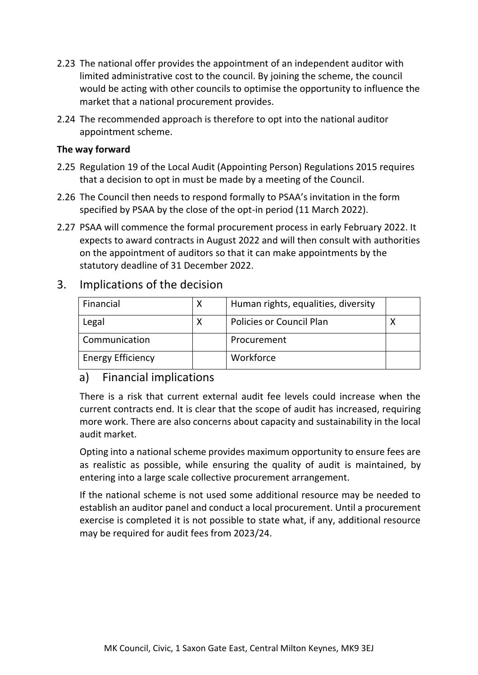- 2.23 The national offer provides the appointment of an independent auditor with limited administrative cost to the council. By joining the scheme, the council would be acting with other councils to optimise the opportunity to influence the market that a national procurement provides.
- 2.24 The recommended approach is therefore to opt into the national auditor appointment scheme.

#### **The way forward**

- 2.25 Regulation 19 of the Local Audit (Appointing Person) Regulations 2015 requires that a decision to opt in must be made by a meeting of the Council.
- 2.26 The Council then needs to respond formally to PSAA's invitation in the form specified by PSAA by the close of the opt-in period (11 March 2022).
- 2.27 PSAA will commence the formal procurement process in early February 2022. It expects to award contracts in August 2022 and will then consult with authorities on the appointment of auditors so that it can make appointments by the statutory deadline of 31 December 2022.

# 3. Implications of the decision

| Financial                | Х | Human rights, equalities, diversity |  |
|--------------------------|---|-------------------------------------|--|
| Legal                    |   | <b>Policies or Council Plan</b>     |  |
| Communication            |   | Procurement                         |  |
| <b>Energy Efficiency</b> |   | Workforce                           |  |

## a) Financial implications

There is a risk that current external audit fee levels could increase when the current contracts end. It is clear that the scope of audit has increased, requiring more work. There are also concerns about capacity and sustainability in the local audit market.

Opting into a national scheme provides maximum opportunity to ensure fees are as realistic as possible, while ensuring the quality of audit is maintained, by entering into a large scale collective procurement arrangement.

If the national scheme is not used some additional resource may be needed to establish an auditor panel and conduct a local procurement. Until a procurement exercise is completed it is not possible to state what, if any, additional resource may be required for audit fees from 2023/24.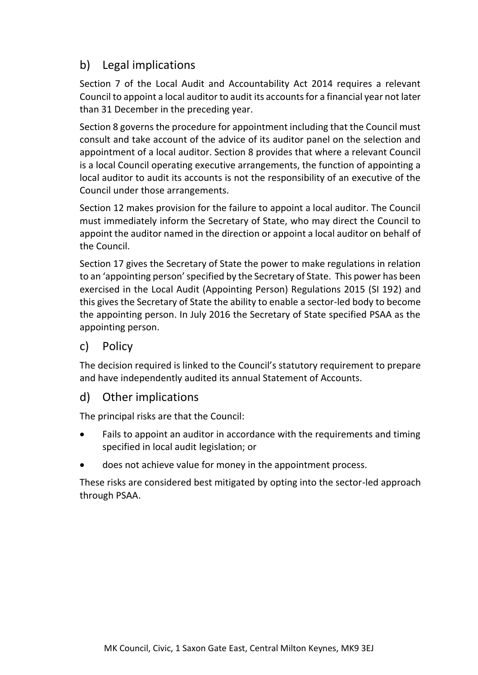# b) Legal implications

Section 7 of the Local Audit and Accountability Act 2014 requires a relevant Council to appoint a local auditor to audit its accounts for a financial year not later than 31 December in the preceding year.

Section 8 governs the procedure for appointment including that the Council must consult and take account of the advice of its auditor panel on the selection and appointment of a local auditor. Section 8 provides that where a relevant Council is a local Council operating executive arrangements, the function of appointing a local auditor to audit its accounts is not the responsibility of an executive of the Council under those arrangements.

Section 12 makes provision for the failure to appoint a local auditor. The Council must immediately inform the Secretary of State, who may direct the Council to appoint the auditor named in the direction or appoint a local auditor on behalf of the Council.

Section 17 gives the Secretary of State the power to make regulations in relation to an 'appointing person' specified by the Secretary of State. This power has been exercised in the Local Audit (Appointing Person) Regulations 2015 (SI 192) and this gives the Secretary of State the ability to enable a sector-led body to become the appointing person. In July 2016 the Secretary of State specified PSAA as the appointing person.

## c) Policy

The decision required is linked to the Council's statutory requirement to prepare and have independently audited its annual Statement of Accounts.

## d) Other implications

The principal risks are that the Council:

- Fails to appoint an auditor in accordance with the requirements and timing specified in local audit legislation; or
- does not achieve value for money in the appointment process.

These risks are considered best mitigated by opting into the sector-led approach through PSAA.